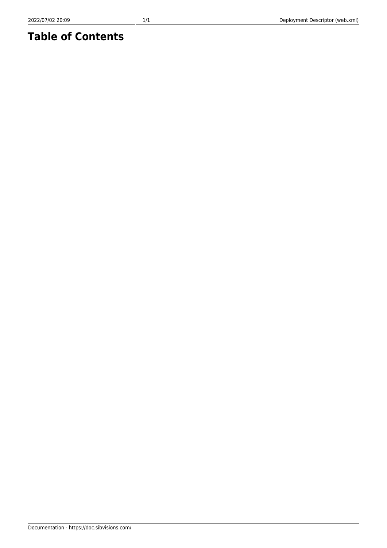# **Table of Contents**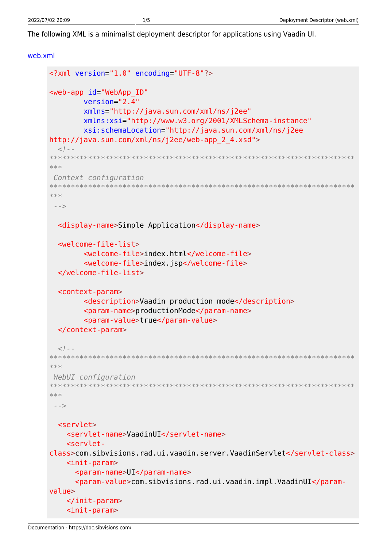The following XML is a minimalist deployment descriptor for applications using Vaadin UI.

## web xml

```
<?xml version="1.0" encoding="UTF-8"?>
<web-app id="WebApp ID"
      version="2.4"
      xmlns="http://iava.sun.com/xml/ns/i2ee"
      xmlns:xsi="http://www.w3.org/2001/XMLSchema-instance"
      xsi:schemaLocation="http://java.sun.com/xml/ns/j2ee
http://java.sun.com/xml/ns/j2ee/web-app 2 4.xsd">
 \langle! - -
***Context configuration
***- -<display-name>Simple Application</display-name>
 <welcome-file-list>
      <welcome-file>index.html</welcome-file>
      <welcome-file>index.jsp</welcome-file>
 </welcome-file-list>
 <context-param>
      <description>Vaadin production mode</description>
      <param-name>productionMode</param-name>
      <param-value>true</param-value>
 </context-param>
 \lt ! - -
***
WebUI configuration
***
- - ><servlet>
   <servlet-name>VaadinUI</servlet-name>
   <servlet-
class>com.sibvisions.rad.ui.vaadin.server.VaadinServlet</servlet-class>
   \sin it-param>
    <param-name>UI</param-name>
    <param-value>com.sibvisions.rad.ui.vaadin.impl.VaadinUI</param-
value>
   \frac{1}{1}nit-param>
   \sin it-param>
```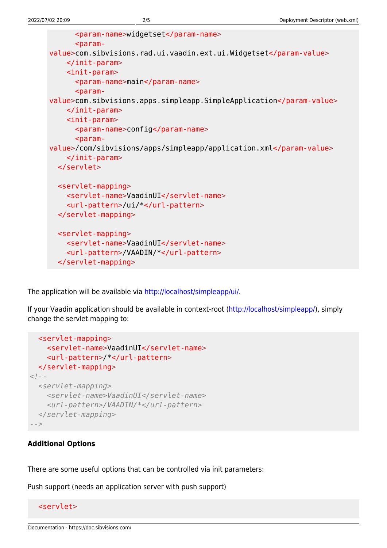```
 <param-name>widgetset</param-name>
      <sub>param-</sub></sub>
value>com.sibvisions.rad.ui.vaadin.ext.ui.Widgetset</param-value>
    \langleinit-param>
     <init-param>
       <param-name>main</param-name>
      <param-value>com.sibvisions.apps.simpleapp.SimpleApplication</param-value>
     </init-param>
     <init-param>
       <param-name>config</param-name>
      <param-value>/com/sibvisions/apps/simpleapp/application.xml</param-value>
     </init-param>
   </servlet>
   <servlet-mapping>
    <servlet-name>VaadinUI</servlet-name>
     <url-pattern>/ui/*</url-pattern>
   </servlet-mapping>
   <servlet-mapping>
     <servlet-name>VaadinUI</servlet-name>
     <url-pattern>/VAADIN/*</url-pattern>
   </servlet-mapping>
```
The application will be available via [http://localhost/simpleapp/ui/](#page--1-0).

If your Vaadin application should be available in context-root [\(http://localhost/simpleapp/\)](#page--1-0), simply change the servlet mapping to:

```
 <servlet-mapping>
     <servlet-name>VaadinUI</servlet-name>
     <url-pattern>/*</url-pattern>
  </servlet-mapping>
<!--
  <servlet-mapping>
     <servlet-name>VaadinUI</servlet-name>
     <url-pattern>/VAADIN/*</url-pattern>
   </servlet-mapping>
-->
```
## **Additional Options**

There are some useful options that can be controlled via init parameters:

Push support (needs an application server with push support)

<servlet>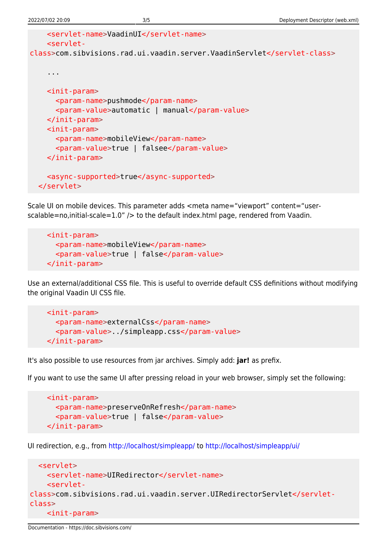```
 <servlet-name>VaadinUI</servlet-name>
     <servlet-
class>com.sibvisions.rad.ui.vaadin.server.VaadinServlet</servlet-class>
     ...
     <init-param>
       <param-name>pushmode</param-name>
       <param-value>automatic | manual</param-value>
     </init-param>
     <init-param>
       <param-name>mobileView</param-name>
       <param-value>true | falsee</param-value>
     </init-param>
     <async-supported>true</async-supported>
   </servlet>
```
Scale UI on mobile devices. This parameter adds <meta name="viewport" content="userscalable=no,initial-scale=1.0" /> to the default index.html page, rendered from Vaadin.

```
 <init-param>
   <param-name>mobileView</param-name>
   <param-value>true | false</param-value>
 </init-param>
```
Use an external/additional CSS file. This is useful to override default CSS definitions without modifying the original Vaadin UI CSS file.

```
 <init-param>
   <param-name>externalCss</param-name>
   <param-value>../simpleapp.css</param-value>
 </init-param>
```
It's also possible to use resources from jar archives. Simply add: **jar!** as prefix.

If you want to use the same UI after pressing reload in your web browser, simply set the following:

```
 <init-param>
   <param-name>preserveOnRefresh</param-name>
   <param-value>true | false</param-value>
 </init-param>
```
UI redirection, e.g., from [http://localhost/simpleapp/](#page--1-0) to [http://localhost/simpleapp/ui/](#page--1-0)

```
 <servlet>
     <servlet-name>UIRedirector</servlet-name>
     <servlet-
class>com.sibvisions.rad.ui.vaadin.server.UIRedirectorServlet</servlet-
class>
     <init-param>
```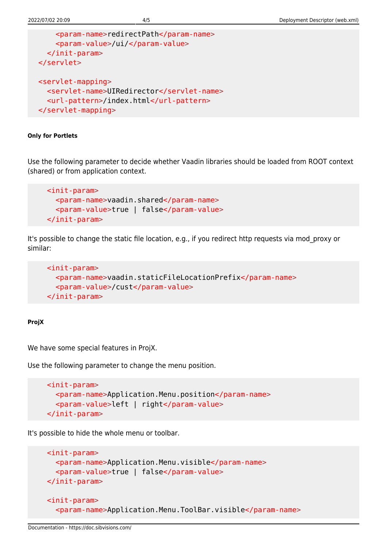```
 <param-name>redirectPath</param-name>
     <param-value>/ui/</param-value>
   </init-param>
 </servlet>
 <servlet-mapping>
   <servlet-name>UIRedirector</servlet-name>
   <url-pattern>/index.html</url-pattern>
 </servlet-mapping>
```
#### **Only for Portlets**

Use the following parameter to decide whether Vaadin libraries should be loaded from ROOT context (shared) or from application context.

```
 <init-param>
   <param-name>vaadin.shared</param-name>
   <param-value>true | false</param-value>
 </init-param>
```
It's possible to change the static file location, e.g., if you redirect http requests via mod\_proxy or similar:

```
 <init-param>
   <param-name>vaadin.staticFileLocationPrefix</param-name>
   <param-value>/cust</param-value>
 </init-param>
```
#### **ProjX**

We have some special features in ProjX.

Use the following parameter to change the menu position.

```
 <init-param>
   <param-name>Application.Menu.position</param-name>
   <param-value>left | right</param-value>
 </init-param>
```
It's possible to hide the whole menu or toolbar.

```
 <init-param>
   <param-name>Application.Menu.visible</param-name>
   <param-value>true | false</param-value>
 </init-param>
 <init-param>
   <param-name>Application.Menu.ToolBar.visible</param-name>
```